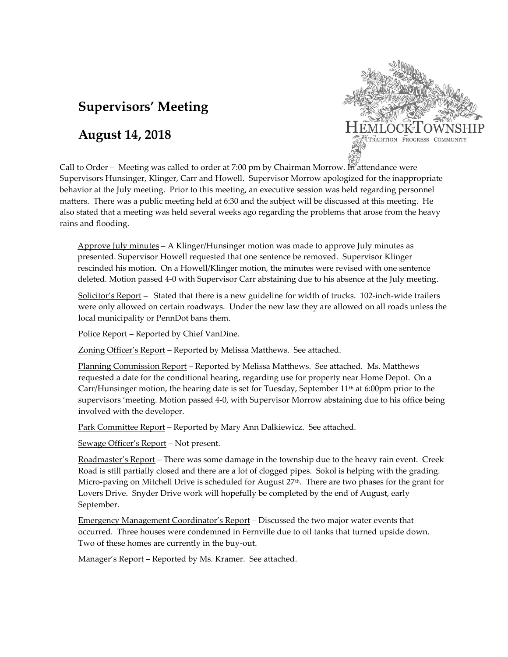# **Supervisors' Meeting**

# **August 14, 2018**



Call to Order – Meeting was called to order at 7:00 pm by Chairman Morrow. In attendance were Supervisors Hunsinger, Klinger, Carr and Howell. Supervisor Morrow apologized for the inappropriate behavior at the July meeting. Prior to this meeting, an executive session was held regarding personnel matters. There was a public meeting held at 6:30 and the subject will be discussed at this meeting. He also stated that a meeting was held several weeks ago regarding the problems that arose from the heavy rains and flooding.

Approve July minutes – A Klinger/Hunsinger motion was made to approve July minutes as presented. Supervisor Howell requested that one sentence be removed. Supervisor Klinger rescinded his motion. On a Howell/Klinger motion, the minutes were revised with one sentence deleted. Motion passed 4-0 with Supervisor Carr abstaining due to his absence at the July meeting.

Solicitor's Report – Stated that there is a new guideline for width of trucks. 102-inch-wide trailers were only allowed on certain roadways. Under the new law they are allowed on all roads unless the local municipality or PennDot bans them.

Police Report – Reported by Chief VanDine.

Zoning Officer's Report – Reported by Melissa Matthews. See attached.

Planning Commission Report – Reported by Melissa Matthews. See attached. Ms. Matthews requested a date for the conditional hearing, regarding use for property near Home Depot. On a Carr/Hunsinger motion, the hearing date is set for Tuesday, September  $11<sup>th</sup>$  at 6:00pm prior to the supervisors 'meeting. Motion passed 4-0, with Supervisor Morrow abstaining due to his office being involved with the developer.

Park Committee Report – Reported by Mary Ann Dalkiewicz. See attached.

Sewage Officer's Report – Not present.

Roadmaster's Report – There was some damage in the township due to the heavy rain event. Creek Road is still partially closed and there are a lot of clogged pipes. Sokol is helping with the grading. Micro-paving on Mitchell Drive is scheduled for August  $27<sup>th</sup>$ . There are two phases for the grant for Lovers Drive. Snyder Drive work will hopefully be completed by the end of August, early September.

Emergency Management Coordinator's Report – Discussed the two major water events that occurred. Three houses were condemned in Fernville due to oil tanks that turned upside down. Two of these homes are currently in the buy-out.

Manager's Report - Reported by Ms. Kramer. See attached.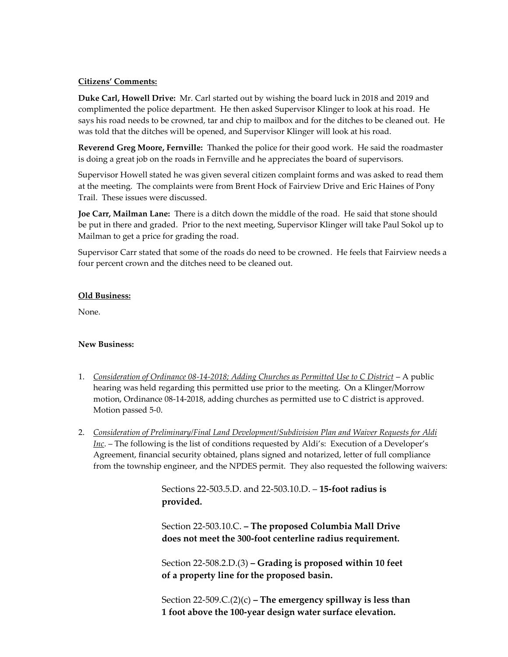#### **Citizens' Comments:**

**Duke Carl, Howell Drive:** Mr. Carl started out by wishing the board luck in 2018 and 2019 and complimented the police department. He then asked Supervisor Klinger to look at his road. He says his road needs to be crowned, tar and chip to mailbox and for the ditches to be cleaned out. He was told that the ditches will be opened, and Supervisor Klinger will look at his road.

**Reverend Greg Moore, Fernville:** Thanked the police for their good work. He said the roadmaster is doing a great job on the roads in Fernville and he appreciates the board of supervisors.

Supervisor Howell stated he was given several citizen complaint forms and was asked to read them at the meeting. The complaints were from Brent Hock of Fairview Drive and Eric Haines of Pony Trail. These issues were discussed.

**Joe Carr, Mailman Lane:** There is a ditch down the middle of the road. He said that stone should be put in there and graded. Prior to the next meeting, Supervisor Klinger will take Paul Sokol up to Mailman to get a price for grading the road.

Supervisor Carr stated that some of the roads do need to be crowned. He feels that Fairview needs a four percent crown and the ditches need to be cleaned out.

#### **Old Business:**

None.

## **New Business:**

- 1. *Consideration of Ordinance 08-14-2018; Adding Churches as Permitted Use to C District* A public hearing was held regarding this permitted use prior to the meeting. On a Klinger/Morrow motion, Ordinance 08-14-2018, adding churches as permitted use to C district is approved. Motion passed 5-0.
- 2. *Consideration of Preliminary/Final Land Development/Subdivision Plan and Waiver Requests for Aldi Inc*. – The following is the list of conditions requested by Aldi's: Execution of a Developer's Agreement, financial security obtained, plans signed and notarized, letter of full compliance from the township engineer, and the NPDES permit. They also requested the following waivers:

Sections 22-503.5.D. and 22-503.10.D. – **15-foot radius is provided.**

Section 22-503.10.C. **– The proposed Columbia Mall Drive does not meet the 300-foot centerline radius requirement.**

Section 22-508.2.D.(3) **– Grading is proposed within 10 feet of a property line for the proposed basin.**

Section 22-509.C.(2)(c) **– The emergency spillway is less than 1 foot above the 100-year design water surface elevation.**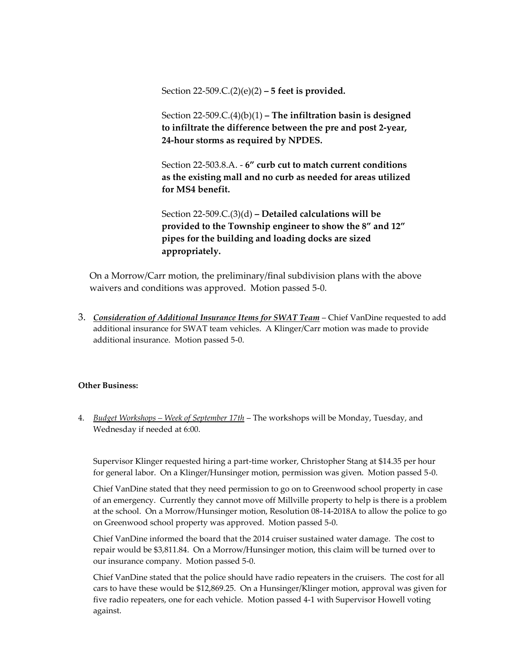Section 22-509.C.(2)(e)(2) **– 5 feet is provided.**

Section 22-509.C.(4)(b)(1) **– The infiltration basin is designed to infiltrate the difference between the pre and post 2-year, 24-hour storms as required by NPDES.**

Section 22-503.8.A. - **6" curb cut to match current conditions as the existing mall and no curb as needed for areas utilized for MS4 benefit.**

Section 22-509.C.(3)(d) **– Detailed calculations will be provided to the Township engineer to show the 8" and 12" pipes for the building and loading docks are sized appropriately.**

On a Morrow/Carr motion, the preliminary/final subdivision plans with the above waivers and conditions was approved. Motion passed 5-0.

3. *Consideration of Additional Insurance Items for SWAT Team* – Chief VanDine requested to add additional insurance for SWAT team vehicles. A Klinger/Carr motion was made to provide additional insurance. Motion passed 5-0.

## **Other Business:**

4. *Budget Workshops – Week of September 17th* – The workshops will be Monday, Tuesday, and Wednesday if needed at 6:00.

Supervisor Klinger requested hiring a part-time worker, Christopher Stang at \$14.35 per hour for general labor. On a Klinger/Hunsinger motion, permission was given. Motion passed 5-0.

Chief VanDine stated that they need permission to go on to Greenwood school property in case of an emergency. Currently they cannot move off Millville property to help is there is a problem at the school. On a Morrow/Hunsinger motion, Resolution 08-14-2018A to allow the police to go on Greenwood school property was approved. Motion passed 5-0.

Chief VanDine informed the board that the 2014 cruiser sustained water damage. The cost to repair would be \$3,811.84. On a Morrow/Hunsinger motion, this claim will be turned over to our insurance company. Motion passed 5-0.

Chief VanDine stated that the police should have radio repeaters in the cruisers. The cost for all cars to have these would be \$12,869.25. On a Hunsinger/Klinger motion, approval was given for five radio repeaters, one for each vehicle. Motion passed 4-1 with Supervisor Howell voting against.